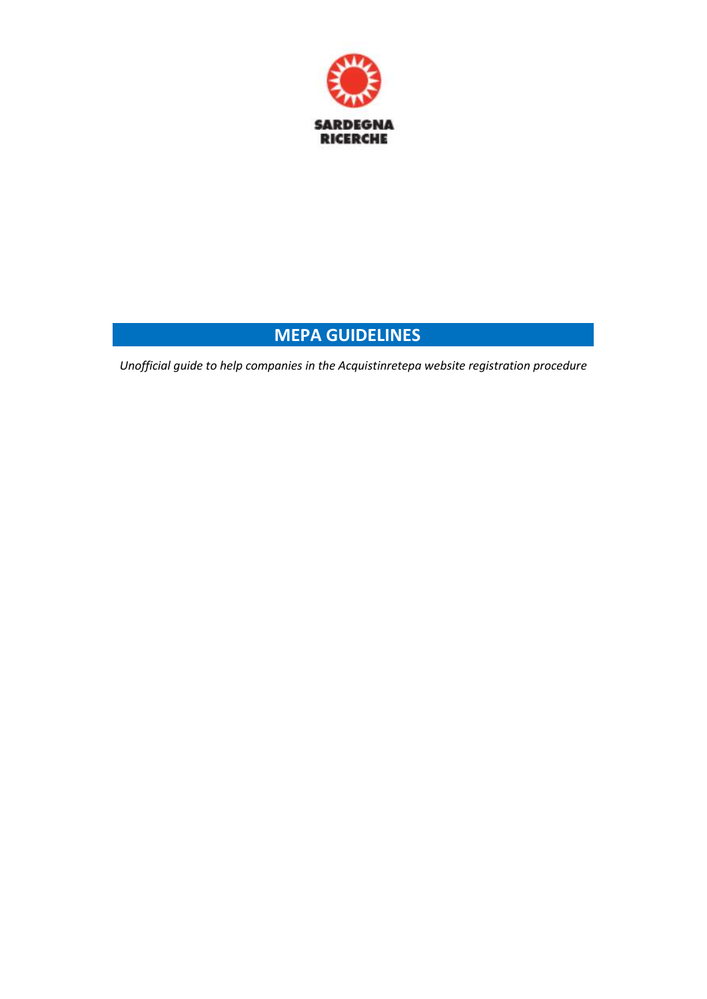

## **…………...………...……. MEPA GUIDELINES ……………….…..………….**

*Unofficial guide to help companies in the Acquistinretepa website registration procedure*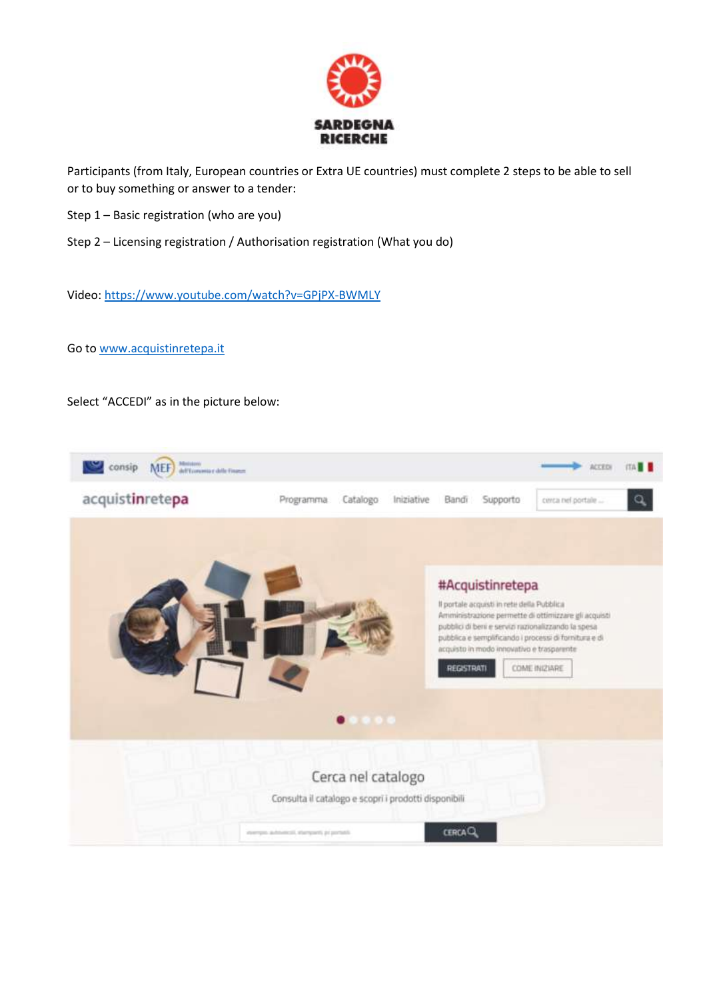

Participants (from Italy, European countries or Extra UE countries) must complete 2 steps to be able to sell or to buy something or answer to a tender:

- Step 1 Basic registration (who are you)
- Step 2 Licensing registration / Authorisation registration (What you do)

Video:<https://www.youtube.com/watch?v=GPjPX-BWMLY>

Go to [www.acquistinretepa.it](http://www.acquistinretepa.it/)

Select "ACCEDI" as in the picture below:

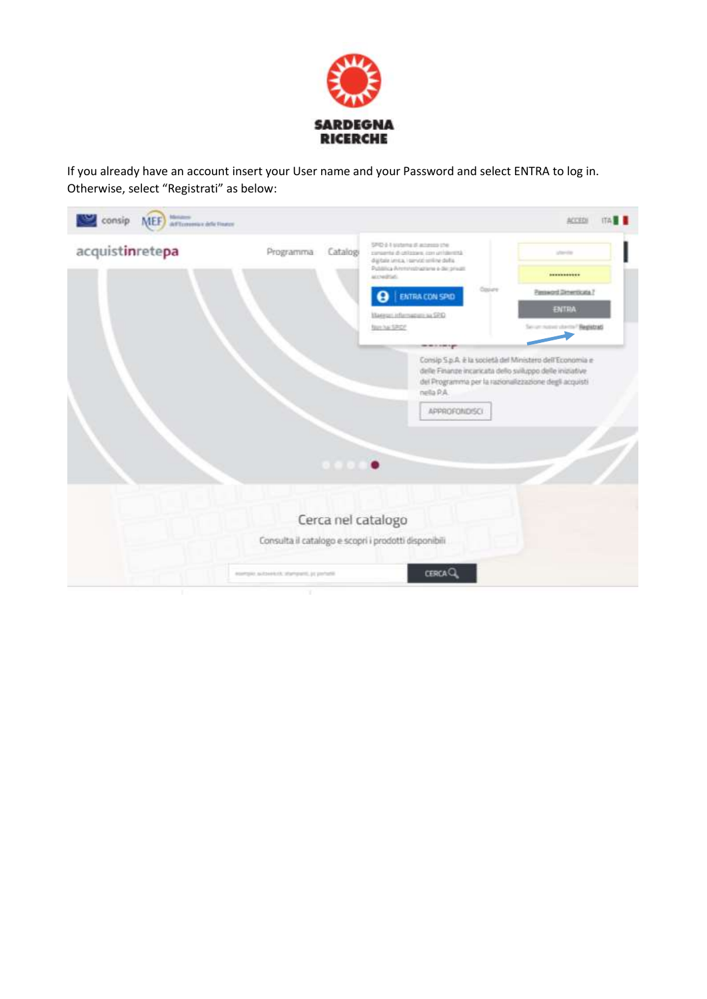

If you already have an account insert your User name and your Password and select ENTRA to log in. Otherwise, select "Registrati" as below:

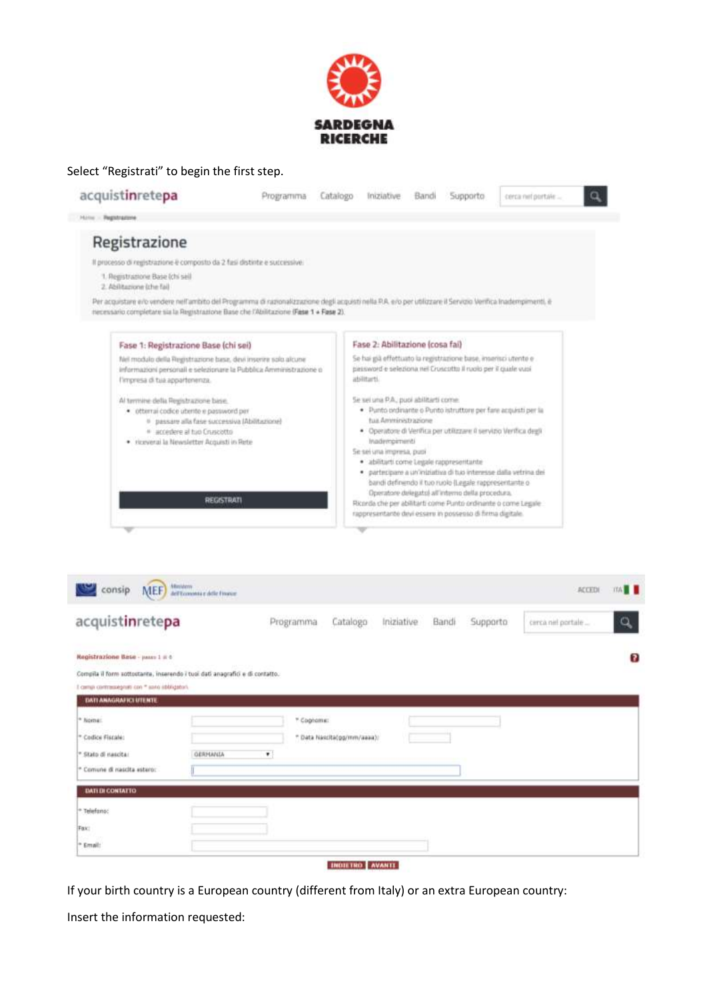



| consip<br>MEF)                                                                                                 |                                                                                                                                                                                                                                                                                                                |  |  |  | TTA <b>1</b> |
|----------------------------------------------------------------------------------------------------------------|----------------------------------------------------------------------------------------------------------------------------------------------------------------------------------------------------------------------------------------------------------------------------------------------------------------|--|--|--|--------------|
| acquistinretepa                                                                                                | Ministern<br>dell'Economia e delle Finance<br><b>ACCEDI</b><br>$\alpha$<br>Catalogo<br>Bandi<br>Supporto<br>Programma<br>Iniziative<br>cerca nel portale<br>Compila il form sottostante, inserendo i tuoi dati anagrafici e di contatto.<br>* Cognamu:<br>* Data Nascita(gg/mm/aasa);<br>$\bullet$<br>GERMANIA |  |  |  |              |
| Registrazione Base - passo 1 il 6<br>I cempi contrasségnati con * sano ribbligatori.<br>DATI ANAGRAFICI UTENTE |                                                                                                                                                                                                                                                                                                                |  |  |  | 3            |
| <sup>a</sup> Nome:<br>* Codice Fiscale:<br>* Stato di nascita:<br><sup>=</sup> Comune di nascita estero:       |                                                                                                                                                                                                                                                                                                                |  |  |  |              |
| <b>DATEDI CONTATTO</b><br><sup>=</sup> Telefano:                                                               |                                                                                                                                                                                                                                                                                                                |  |  |  |              |
| Fax:<br><sup>a</sup> Email:                                                                                    |                                                                                                                                                                                                                                                                                                                |  |  |  |              |

**INDIETRO AVANTE** 

If your birth country is a European country (different from Italy) or an extra European country:

Insert the information requested: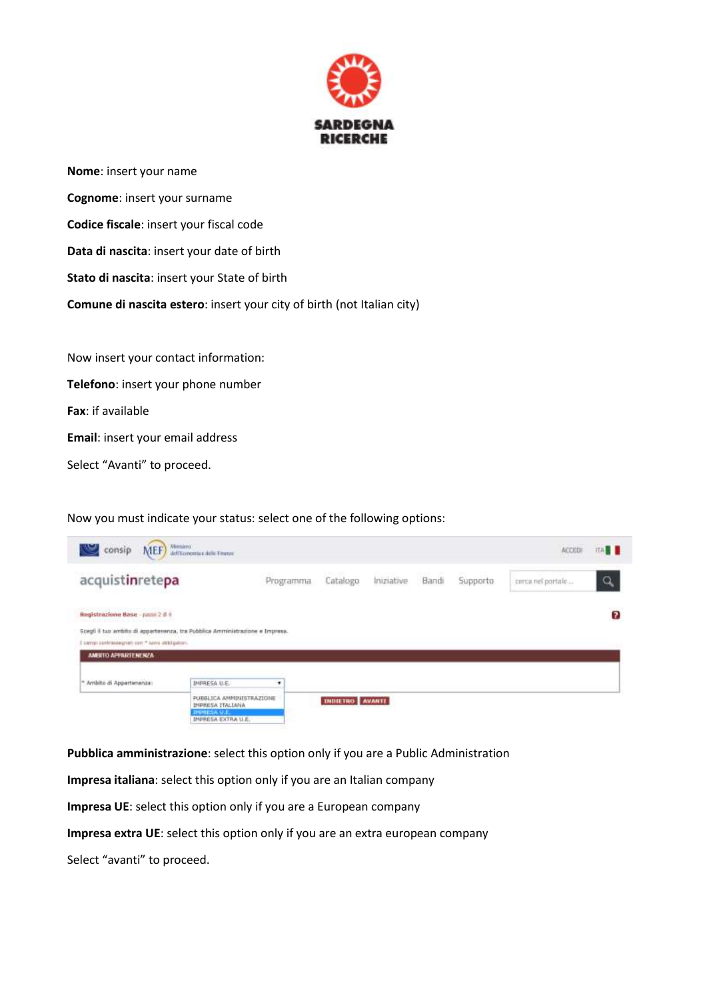

**Nome**: insert your name **Cognome**: insert your surname **Codice fiscale**: insert your fiscal code **Data di nascita**: insert your date of birth **Stato di nascita**: insert your State of birth **Comune di nascita estero**: insert your city of birth (not Italian city) Now insert your contact information: **Telefono**: insert your phone number **Fax**: if available

**Email**: insert your email address

Select "Avanti" to proceed.

Now you must indicate your status: select one of the following options:

| consip                                                                                                                                                                                                                                                           | MEF) Mattanguine delle Finanze               |           |                        |            |       |           | ACCEDI            | <b>ITA B</b>   |
|------------------------------------------------------------------------------------------------------------------------------------------------------------------------------------------------------------------------------------------------------------------|----------------------------------------------|-----------|------------------------|------------|-------|-----------|-------------------|----------------|
| acquistinretepa                                                                                                                                                                                                                                                  |                                              | Programma | Catalogo               | Iniziative | Bandi | Supporto. | cerca nel portale | $\alpha$       |
| Registrazione Base - paso 2 d 6<br>and the second contract of the second contract of the second contract of the second contract of the second contract of the second contract of the second contract of the second contract of the second contract of the second |                                              |           |                        |            |       |           |                   | $\overline{2}$ |
| Scegli il tuo ambito di appartenenza, tra Pubblica Amminiatrazione a Impresa.                                                                                                                                                                                    |                                              |           |                        |            |       |           |                   |                |
| I same contrassegrati con." Aime dittigatori.                                                                                                                                                                                                                    |                                              |           |                        |            |       |           |                   |                |
| AMERTO APPARTENENZA                                                                                                                                                                                                                                              |                                              |           |                        |            |       |           |                   |                |
|                                                                                                                                                                                                                                                                  |                                              |           |                        |            |       |           |                   |                |
| * Ambito di Appartimenza:                                                                                                                                                                                                                                        | IMPRESA LLE.                                 | ٠         |                        |            |       |           |                   |                |
|                                                                                                                                                                                                                                                                  | PUBBLICA AMPINISTRAZIONE<br>IMPRESA ITALIANA |           | <b>INDIETRO AVANTE</b> |            |       |           |                   |                |
|                                                                                                                                                                                                                                                                  | <b>IMPRESA U.E.</b><br>IMPRESA EXTRA U.E.    |           |                        |            |       |           |                   |                |

**Pubblica amministrazione**: select this option only if you are a Public Administration

**Impresa italiana**: select this option only if you are an Italian company

**Impresa UE**: select this option only if you are a European company

**Impresa extra UE**: select this option only if you are an extra european company

Select "avanti" to proceed.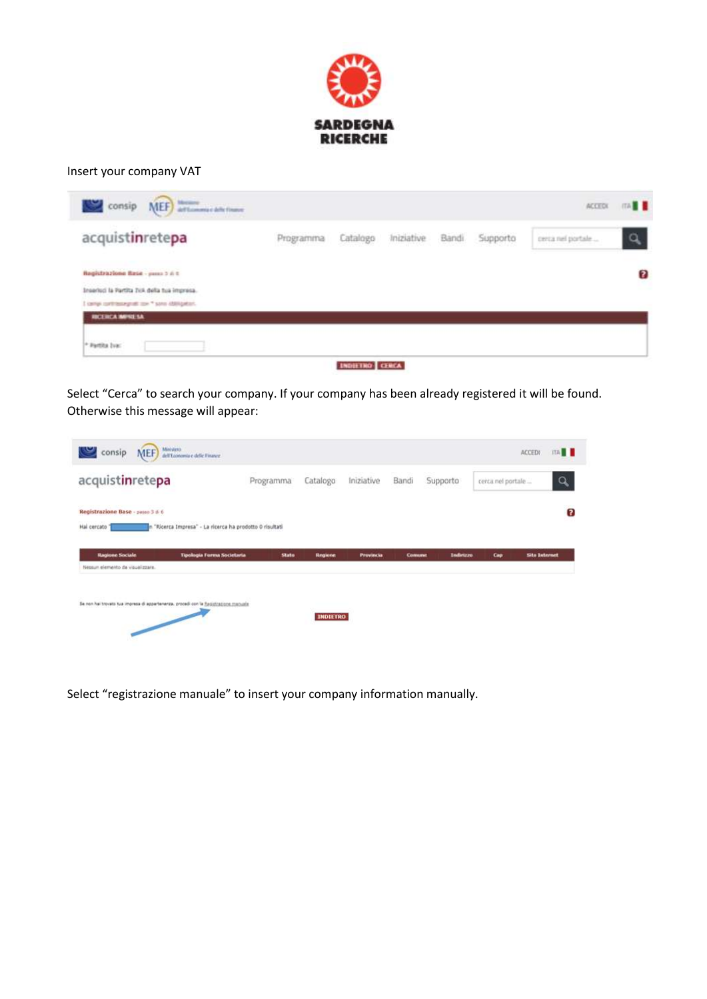

## Insert your company VAT

| acquistinretepa                                 | Programma | Catalogo | Iniziative | Bandi | Supporto | cerca nel portale | $\alpha$ |
|-------------------------------------------------|-----------|----------|------------|-------|----------|-------------------|----------|
| Registrazione Base - passo 5 6 t                |           |          |            |       |          |                   | 3        |
| Inseriori la Partita IVA della tua impresa.     |           |          |            |       |          |                   |          |
| I camp contribute profit con * sono iddisguéan. |           |          |            |       |          |                   |          |
| <b>HOCERCA MANE SA</b>                          |           |          |            |       |          |                   |          |
| Fartita buc                                     |           |          |            |       |          |                   |          |

Select "Cerca" to search your company. If your company has been already registered it will be found. Otherwise this message will appear:

| consip<br>MEF)                                                                       | Ministero<br>dell'Economia e delle Finanze               |           |                |                  |               |                  |                   | <b>ITA NE</b><br>ACCEDI |
|--------------------------------------------------------------------------------------|----------------------------------------------------------|-----------|----------------|------------------|---------------|------------------|-------------------|-------------------------|
| acquistinretepa                                                                      |                                                          | Programma | Catalogo       | Iniziative       | Bandi         | Supporto         | cerca nel portale | $\alpha$                |
| Registrazione Base - passo 3 di 6                                                    |                                                          |           |                |                  |               |                  |                   |                         |
|                                                                                      |                                                          |           |                |                  |               |                  |                   |                         |
|                                                                                      | n "Ricerca Impresa" - La ricerca ha prodotto 0 risultati |           |                |                  |               |                  |                   |                         |
| Hal cercato<br><b>Ragione Sociale</b><br>Nessun elemento da visualizzare.            | <b>Tipologia Forma Societaria</b>                        | State     | <b>Regione</b> | <b>Provincia</b> | <b>Comune</b> | <b>Indirizzo</b> | Cap               | <b>Site Internet</b>    |
| Se non hai trovato tua impresa di appartenenza, procedi con la Registrazione manuale |                                                          |           |                |                  |               |                  |                   |                         |

Select "registrazione manuale" to insert your company information manually.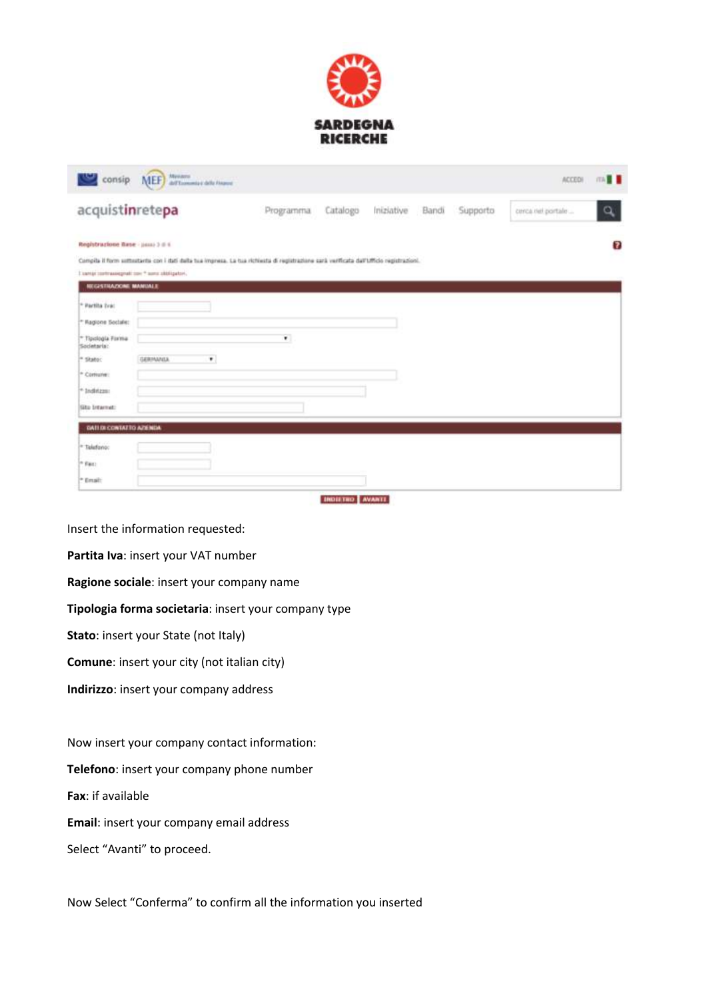

| consip                                       | Abrevarra<br><b>MEF</b>                         | dell'Economia e della Finanza |                                                                                                                                         |          |            |       |          | <b>ACCEDI</b>     | ma <b>H</b> |
|----------------------------------------------|-------------------------------------------------|-------------------------------|-----------------------------------------------------------------------------------------------------------------------------------------|----------|------------|-------|----------|-------------------|-------------|
| acquistinretepa                              |                                                 |                               | Programma                                                                                                                               | Catalogo | Iniziative | Bandi | Supporto | cerca nel portale | ۹           |
| Registrazione Base - jismi 3 d t.            |                                                 |                               |                                                                                                                                         |          |            |       |          |                   | 7           |
|                                              | I santat contrassignati con " sono obbligatori, |                               | Compila il form sottostanta con i dati dalla tua impresa. La tua richiesta di registrazione sarà verificata dall'Ufficio registrazioni. |          |            |       |          |                   |             |
| <b>NEGESTRAZIONE MANUALE</b>                 |                                                 |                               |                                                                                                                                         |          |            |       |          |                   |             |
| <sup>*</sup> Partita Iva:                    |                                                 |                               |                                                                                                                                         |          |            |       |          |                   |             |
| * Ragione Sociale:                           |                                                 |                               |                                                                                                                                         |          |            |       |          |                   |             |
| <sup>16</sup> Tipologia Forma<br>Societaria: |                                                 |                               | $\bullet$                                                                                                                               |          |            |       |          |                   |             |
| <sup>14</sup> Skator                         | GERMANIA                                        | ٠                             |                                                                                                                                         |          |            |       |          |                   |             |
| <sup>*</sup> Comune:                         |                                                 |                               |                                                                                                                                         |          |            |       |          |                   |             |
| <sup>*</sup> Inditzas:                       |                                                 |                               |                                                                                                                                         |          |            |       |          |                   |             |
| Situ Internet:                               |                                                 |                               |                                                                                                                                         |          |            |       |          |                   |             |
| DATED CONTACTO APENDA                        |                                                 |                               |                                                                                                                                         |          |            |       |          |                   |             |
| <sup>=</sup> Takefonoc                       |                                                 |                               |                                                                                                                                         |          |            |       |          |                   |             |
|                                              |                                                 |                               |                                                                                                                                         |          |            |       |          |                   |             |
| $P$ Fast                                     |                                                 |                               |                                                                                                                                         |          |            |       |          |                   |             |

Insert the information requested:

**Partita Iva**: insert your VAT number

**Ragione sociale**: insert your company name

**Tipologia forma societaria**: insert your company type

**Stato**: insert your State (not Italy)

**Comune**: insert your city (not italian city)

**Indirizzo**: insert your company address

Now insert your company contact information:

**Telefono**: insert your company phone number

**Fax**: if available

**Email**: insert your company email address

Select "Avanti" to proceed.

Now Select "Conferma" to confirm all the information you inserted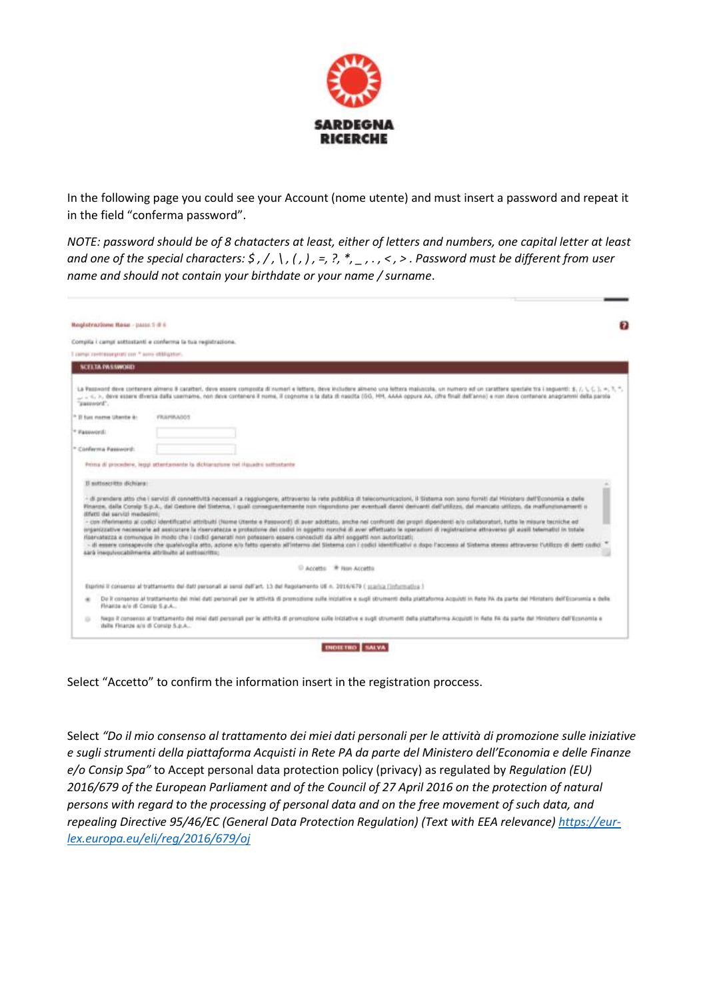

In the following page you could see your Account (nome utente) and must insert a password and repeat it in the field "conferma password".

*NOTE: password should be of 8 chatacters at least, either of letters and numbers, one capital letter at least and one of the special characters: \$ , / , \ , ( , ) , =, ?, \*, \_ , . , < , > . Password must be different from user name and should not contain your birthdate or your name / surname*.

| Registrazione Base - passo 5-8 s                   |                                                                                                                                                                                                                                                                                                                                                                                           |
|----------------------------------------------------|-------------------------------------------------------------------------------------------------------------------------------------------------------------------------------------------------------------------------------------------------------------------------------------------------------------------------------------------------------------------------------------------|
|                                                    | Compila i campi auttostanti e corderma la tua registrazione.                                                                                                                                                                                                                                                                                                                              |
| I certain continuous profit con " sono obbigatori. |                                                                                                                                                                                                                                                                                                                                                                                           |
| <b>SCELTA PASSWORD</b>                             |                                                                                                                                                                                                                                                                                                                                                                                           |
| 'sasyword'.                                        | La Password deve contenent almens & caracters, deve essere composta di numeri e lettore, deve includere almeno una lettora maiuscala, un numero ed un caractere speciale tra il seguenti: \$, 7, 1, 1, 2, 1, 1, 1, 7, 1, 1, 1,                                                                                                                                                            |
| <sup>2</sup> Il fue nome Uberte &                  | FRAFIRADOS                                                                                                                                                                                                                                                                                                                                                                                |
| * Fassword:                                        |                                                                                                                                                                                                                                                                                                                                                                                           |
| * Conferma Passworth                               |                                                                                                                                                                                                                                                                                                                                                                                           |
|                                                    |                                                                                                                                                                                                                                                                                                                                                                                           |
|                                                    | Prima di procedere, largo attentamente la dichiarazione nel ilgoadro sottostante                                                                                                                                                                                                                                                                                                          |
| Il nottoneritto dichiara:                          |                                                                                                                                                                                                                                                                                                                                                                                           |
|                                                    | - di prendere alto che i servizi ili connettvità necessari a raggiungere, attraverso la rete pubblica di telecomunicazioni, il Sistema non sono forniti dal Hinistero dell'Economia e delle<br>Finanze, dalla Consip S.p.A., dal Gestore dei Sistema, i quali consequentemente non rispondono per eventual danni democrati dell'utilizzo, dal mancato utilizzo, da malluncionamenti o     |
| difetti dai sarvizi medesimi;                      | - can riferimento ai codici identificativi attributi (Nome Utente a Password) di aver adottato, anche nei confronti dei propri dipendenti a/o collaboratori, tutte la misure becniche ed<br>organizzative necessarie ad assicurare la riservatezza e protezione del codici in oggetto norché di aver effettuato le operazioni di registrazione attraverso gli ausili telematici in totale |
|                                                    | riservatezza e comunque in modo che i codici generati non potessero essere conosciuti da altri soggetti non autorizzati:<br>- It ennere consapevole che qualsivoglia atto, azione e/o fatto operato all'interno del Sistema con i codici identificativi o dopo l'accesso al Sistema stesso attraverso l'utilizzo di detti codici<br>sarà inequivocabimente attribuito al soltoeritto:     |
|                                                    | <sup>13</sup> Accetts: <sup>#</sup> Non Accetta                                                                                                                                                                                                                                                                                                                                           |
|                                                    | Exprimi il consenso al trattamento dei dati personali ai sensi dell'art. 13 del Repolamento UE n. 2016/679 ( starica l'informativa )                                                                                                                                                                                                                                                      |
| ×<br>Finanze a/e di Consig S.p.A                   | De it consense at trattamento dei miel dati personali per la attività di promozione sulle iniplative e sugli strumenti della piattaforma Acquisti in Rete PA da parte del Ministero del Filipponia e delle                                                                                                                                                                                |

Select "Accetto" to confirm the information insert in the registration proccess.

Select "Do il mio consenso al trattamento dei miei dati personali per le attività di promozione sulle iniziative *e sugli strumenti della piattaforma Acquisti in Rete PA da parte del Ministero dell'Economia e delle Finanze e/o Consip Spa"* to Accept personal data protection policy (privacy) as regulated by *Regulation (EU) 2016/679 of the European Parliament and of the Council of 27 April 2016 on the protection of natural persons with regard to the processing of personal data and on the free movement of such data, and repealing Directive 95/46/EC (General Data Protection Regulation) (Text with EEA relevance[\) https://eur](https://eur-lex.europa.eu/eli/reg/2016/679/oj)[lex.europa.eu/eli/reg/2016/679/oj](https://eur-lex.europa.eu/eli/reg/2016/679/oj)*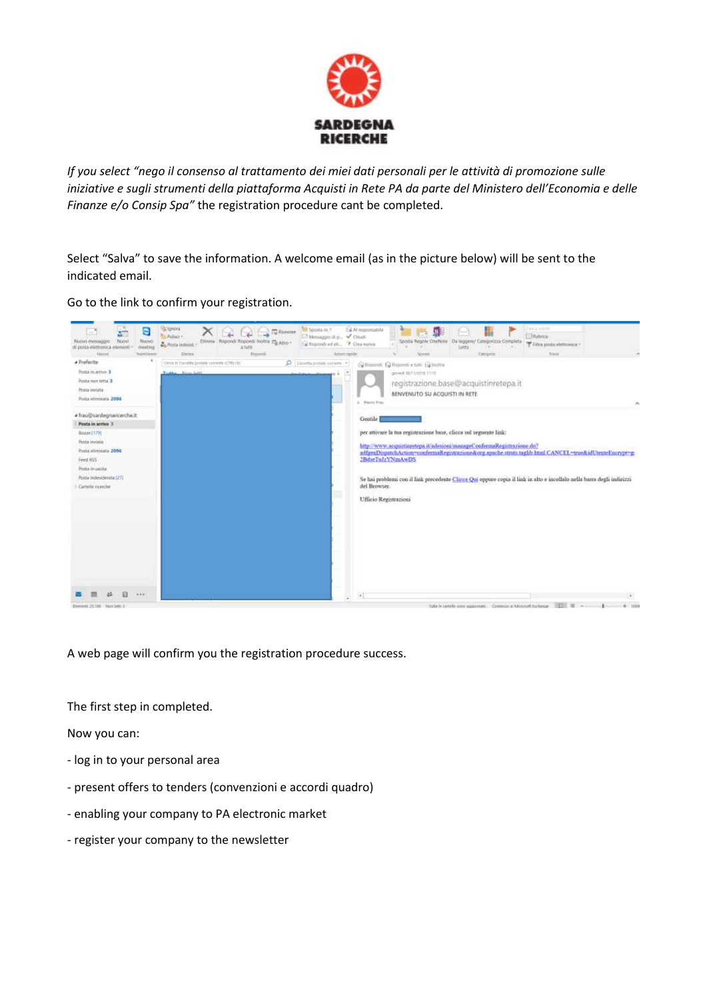

*If you select "nego il consenso al trattamento dei miei dati personali per le attività di promozione sulle iniziative e sugli strumenti della piattaforma Acquisti in Rete PA da parte del Ministero dell'Economia e delle Finanze e/o Consip Spa"* the registration procedure cant be completed.

Select "Salva" to save the information. A welcome email (as in the picture below) will be sent to the indicated email.

Go to the link to confirm your registration.



A web page will confirm you the registration procedure success.

The first step in completed.

Now you can:

- log in to your personal area
- present offers to tenders (convenzioni e accordi quadro)
- enabling your company to PA electronic market
- register your company to the newsletter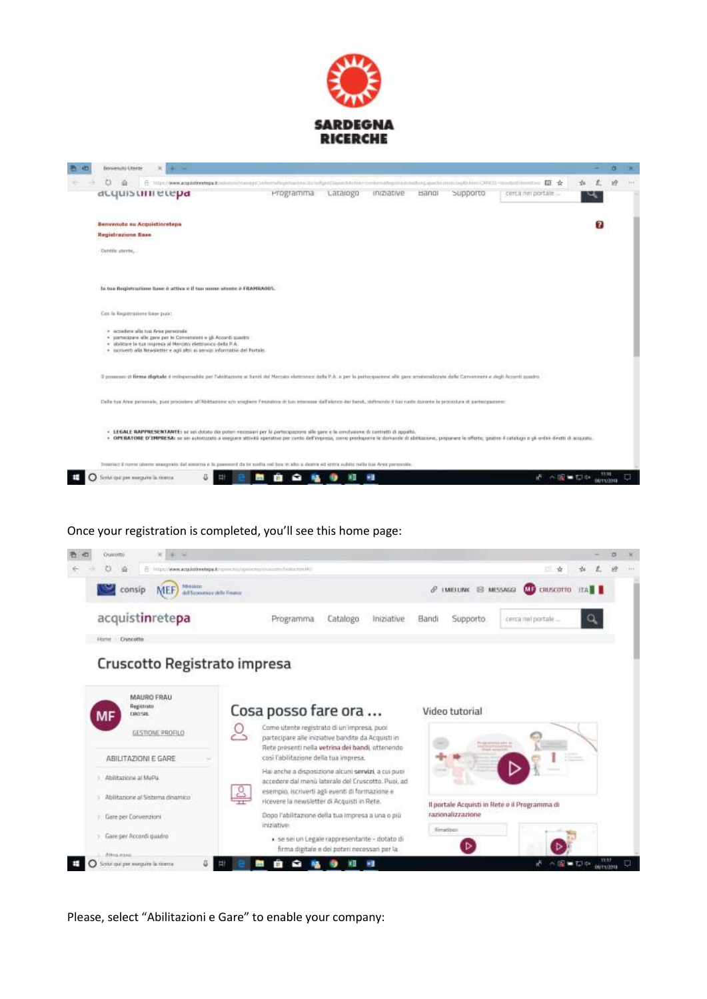

| Benvenzitü Utera-               |   |                                     |                                                                                                                                                                                                                  |                                                                                                                                                                                   |           |          |                   |       |          |                                                                                                                                                                                                                  |       |   |  |
|---------------------------------|---|-------------------------------------|------------------------------------------------------------------------------------------------------------------------------------------------------------------------------------------------------------------|-----------------------------------------------------------------------------------------------------------------------------------------------------------------------------------|-----------|----------|-------------------|-------|----------|------------------------------------------------------------------------------------------------------------------------------------------------------------------------------------------------------------------|-------|---|--|
| O                               | 丘 |                                     |                                                                                                                                                                                                                  |                                                                                                                                                                                   |           |          |                   |       |          | http://www.acquistivistage.gl.indiansa/europyCorferradiogentersocialsage/Capaciticitos-contentsations-activistic productions-background-activistic productions-CAUCTI - to adultions-fixed and                   |       |   |  |
|                                 |   | deguistrinetepa                     |                                                                                                                                                                                                                  |                                                                                                                                                                                   | Programma | Latalogo | <b>Iniziative</b> | Bangi | Supporto | cerca nei portale                                                                                                                                                                                                |       |   |  |
|                                 |   | Benvenute au Acquistinretepa        |                                                                                                                                                                                                                  |                                                                                                                                                                                   |           |          |                   |       |          |                                                                                                                                                                                                                  |       | 7 |  |
| Registrazione fisse             |   |                                     |                                                                                                                                                                                                                  |                                                                                                                                                                                   |           |          |                   |       |          |                                                                                                                                                                                                                  |       |   |  |
| Cardia atests.                  |   |                                     |                                                                                                                                                                                                                  |                                                                                                                                                                                   |           |          |                   |       |          |                                                                                                                                                                                                                  |       |   |  |
|                                 |   |                                     |                                                                                                                                                                                                                  | la tua flegistraziose base è attiva e il tua nome stente è FILAFRA005.                                                                                                            |           |          |                   |       |          |                                                                                                                                                                                                                  |       |   |  |
| Can in Registratione hase puot: |   |                                     |                                                                                                                                                                                                                  |                                                                                                                                                                                   |           |          |                   |       |          |                                                                                                                                                                                                                  |       |   |  |
|                                 |   | · accadere alla tua Area personale: | · partecipare alle gene per la Consensioni e gli Accordi quastro<br>· abilitare la tua impresa al Marcato elettranico della P.A.<br>· incriverti alla Newsletter e agli albi ai servizi informativi del Fortale. |                                                                                                                                                                                   |           |          |                   |       |          |                                                                                                                                                                                                                  |       |   |  |
|                                 |   |                                     |                                                                                                                                                                                                                  |                                                                                                                                                                                   |           |          |                   |       |          | Il powerero di firma digitale è initepensible per l'ubilitanente ai banti del Manuto elemento della P.A. e per la parteconcene alle pare ameternalizzato delle Conventori e degli Accordi pasono                 |       |   |  |
|                                 |   |                                     |                                                                                                                                                                                                                  | Daße tus Anseigetennelle, plast procedent all'Abétazione un sosplene finasione di tus interesses del Venez dei bend, statuendo il bar rudio donario transcopura di pertempazione: |           |          |                   |       |          |                                                                                                                                                                                                                  |       |   |  |
|                                 |   |                                     |                                                                                                                                                                                                                  | . LEGALE RAPPRESENTANTE: se sei dotato dei poten necessari per la portecipazione alle sane e la conclusione di contratti di appolto.                                              |           |          |                   |       |          | . OPERATORE D'IMPRESA: se sei automatin a eseguen attività eperativo per corto dell'enpresa, como prodogume le domando di abitizzioni, presane le afforte, geatre 4 initiazio e più ardivi diverti il acquasita. |       |   |  |
|                                 |   |                                     |                                                                                                                                                                                                                  | Trenerisc; il romat utterite avangento dal sotterre e la passegni; da bi sudia mil bos in alco a degine ed sotra subito celle tua Ansa personale.                                 |           |          |                   |       |          |                                                                                                                                                                                                                  |       |   |  |
| оти сы дат высыле la testra     |   |                                     |                                                                                                                                                                                                                  |                                                                                                                                                                                   |           |          |                   |       |          |                                                                                                                                                                                                                  | ※編集初期 |   |  |

## Once your registration is completed, you'll see this home page:



Please, select "Abilitazioni e Gare" to enable your company: